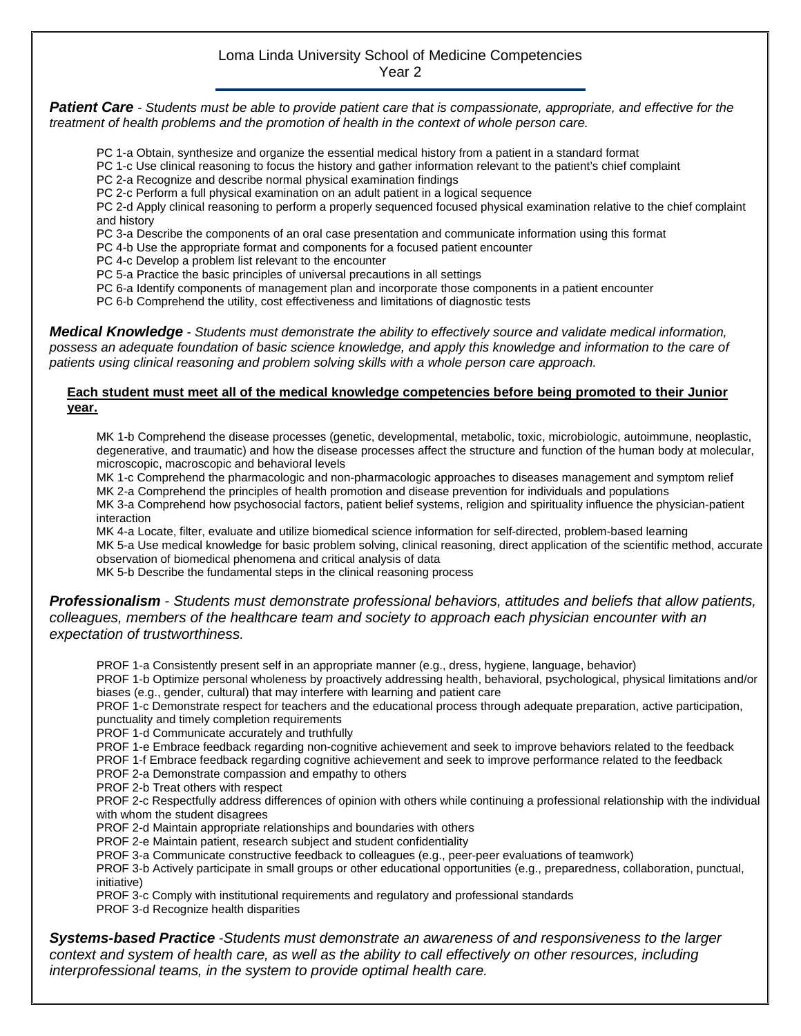## Loma Linda University School of Medicine Competencies Year 2

*Patient Care - Students must be able to provide patient care that is compassionate, appropriate, and effective for the treatment of health problems and the promotion of health in the context of whole person care.*

- PC 1-a Obtain, synthesize and organize the essential medical history from a patient in a standard format
- PC 1-c Use clinical reasoning to focus the history and gather information relevant to the patient's chief complaint
- PC 2-a Recognize and describe normal physical examination findings
- PC 2-c Perform a full physical examination on an adult patient in a logical sequence

PC 2-d Apply clinical reasoning to perform a properly sequenced focused physical examination relative to the chief complaint and history

PC 3-a Describe the components of an oral case presentation and communicate information using this format

PC 4-b Use the appropriate format and components for a focused patient encounter

PC 4-c Develop a problem list relevant to the encounter

- PC 5-a Practice the basic principles of universal precautions in all settings
- PC 6-a Identify components of management plan and incorporate those components in a patient encounter
- PC 6-b Comprehend the utility, cost effectiveness and limitations of diagnostic tests

*Medical Knowledge - Students must demonstrate the ability to effectively source and validate medical information, possess an adequate foundation of basic science knowledge, and apply this knowledge and information to the care of patients using clinical reasoning and problem solving skills with a whole person care approach.*

## **Each student must meet all of the medical knowledge competencies before being promoted to their Junior year.**

MK 1-b Comprehend the disease processes (genetic, developmental, metabolic, toxic, microbiologic, autoimmune, neoplastic, degenerative, and traumatic) and how the disease processes affect the structure and function of the human body at molecular, microscopic, macroscopic and behavioral levels

MK 1-c Comprehend the pharmacologic and non-pharmacologic approaches to diseases management and symptom relief MK 2-a Comprehend the principles of health promotion and disease prevention for individuals and populations

MK 3-a Comprehend how psychosocial factors, patient belief systems, religion and spirituality influence the physician-patient interaction

MK 4-a Locate, filter, evaluate and utilize biomedical science information for self-directed, problem-based learning MK 5-a Use medical knowledge for basic problem solving, clinical reasoning, direct application of the scientific method, accurate observation of biomedical phenomena and critical analysis of data

MK 5-b Describe the fundamental steps in the clinical reasoning process

## *Professionalism - Students must demonstrate professional behaviors, attitudes and beliefs that allow patients, colleagues, members of the healthcare team and society to approach each physician encounter with an expectation of trustworthiness.*

PROF 1-a Consistently present self in an appropriate manner (e.g., dress, hygiene, language, behavior)

PROF 1-b Optimize personal wholeness by proactively addressing health, behavioral, psychological, physical limitations and/or biases (e.g., gender, cultural) that may interfere with learning and patient care

PROF 1-c Demonstrate respect for teachers and the educational process through adequate preparation, active participation, punctuality and timely completion requirements

PROF 1-d Communicate accurately and truthfully

PROF 1-e Embrace feedback regarding non-cognitive achievement and seek to improve behaviors related to the feedback

PROF 1-f Embrace feedback regarding cognitive achievement and seek to improve performance related to the feedback

PROF 2-a Demonstrate compassion and empathy to others

PROF 2-b Treat others with respect

PROF 2-c Respectfully address differences of opinion with others while continuing a professional relationship with the individual with whom the student disagrees

PROF 2-d Maintain appropriate relationships and boundaries with others

PROF 2-e Maintain patient, research subject and student confidentiality

PROF 3-a Communicate constructive feedback to colleagues (e.g., peer-peer evaluations of teamwork)

PROF 3-b Actively participate in small groups or other educational opportunities (e.g., preparedness, collaboration, punctual, initiative)

PROF 3-c Comply with institutional requirements and regulatory and professional standards PROF 3-d Recognize health disparities

*Systems-based Practice -Students must demonstrate an awareness of and responsiveness to the larger context and system of health care, as well as the ability to call effectively on other resources, including interprofessional teams, in the system to provide optimal health care.*